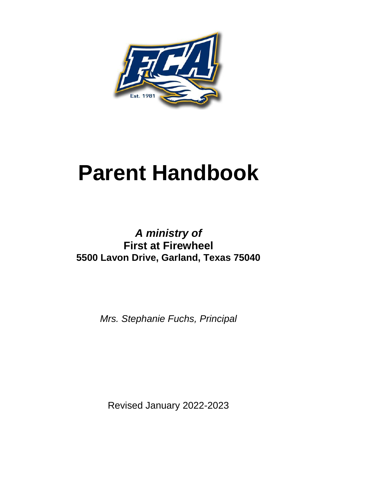

# **Parent Handbook**

# *A ministry of* **First at Firewheel 5500 Lavon Drive, Garland, Texas 75040**

*Mrs. Stephanie Fuchs, Principal*

Revised January 2022-2023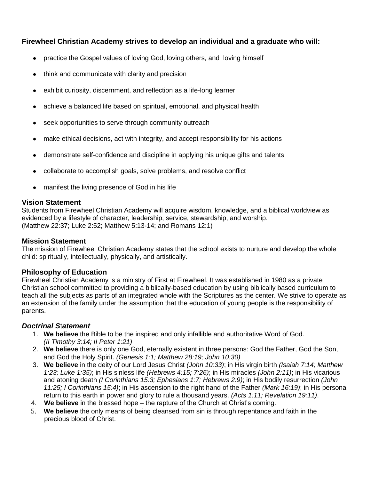# **Firewheel Christian Academy strives to develop an individual and a graduate who will:**

- practice the Gospel values of loving God, loving others, and loving himself
- think and communicate with clarity and precision
- exhibit curiosity, discernment, and reflection as a life-long learner
- achieve a balanced life based on spiritual, emotional, and physical health
- seek opportunities to serve through community outreach
- make ethical decisions, act with integrity, and accept responsibility for his actions
- demonstrate self-confidence and discipline in applying his unique gifts and talents
- collaborate to accomplish goals, solve problems, and resolve conflict
- manifest the living presence of God in his life

#### **Vision Statement**

Students from Firewheel Christian Academy will acquire wisdom, knowledge, and a biblical worldview as evidenced by a lifestyle of character, leadership, service, stewardship, and worship. (Matthew 22:37; Luke 2:52; Matthew 5:13-14; and Romans 12:1)

#### **Mission Statement**

The mission of Firewheel Christian Academy states that the school exists to nurture and develop the whole child: spiritually, intellectually, physically, and artistically.

#### **Philosophy of Education**

Firewheel Christian Academy is a ministry of First at Firewheel. It was established in 1980 as a private Christian school committed to providing a biblically-based education by using biblically based curriculum to teach all the subjects as parts of an integrated whole with the Scriptures as the center. We strive to operate as an extension of the family under the assumption that the education of young people is the responsibility of parents.

#### *Doctrinal S*t*atement*

- 1. **We believe** the Bible to be the inspired and only infallible and authoritative Word of God. *(II Timothy 3:14; II Peter 1:21)*
- 2. **We believe** there is only one God, eternally existent in three persons: God the Father, God the Son, and God the Holy Spirit. *(Genesis 1:1; Matthew 28:19; John 10:30)*
- 3. **We believe** in the deity of our Lord Jesus Christ *(John 10:33)*; in His virgin birth *(Isaiah 7:14; Matthew 1:23; Luke 1:35)*; in His sinless life *(Hebrews 4:15; 7:26)*; in His miracles *(John 2:11)*; in His vicarious and atoning death *(I Corinthians 15:3; Ephesians 1:7; Hebrews 2:9)*; in His bodily resurrection *(John 11:25; I Corinthians 15:4)*; in His ascension to the right hand of the Father *(Mark 16:19)*; in His personal return to this earth in power and glory to rule a thousand years. *(Acts 1:11; Revelation 19:11)*.
- 4. **We believe** in the blessed hope the rapture of the Church at Christ's coming.
- 5. **We believe** the only means of being cleansed from sin is through repentance and faith in the precious blood of Christ.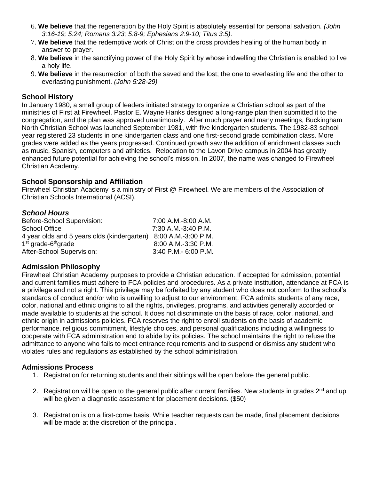- 6. **We believe** that the regeneration by the Holy Spirit is absolutely essential for personal salvation. *(John 3:16-19; 5:24; Romans 3:23; 5:8-9; Ephesians 2:9-10; Titus 3:5)*.
- 7. **We believe** that the redemptive work of Christ on the cross provides healing of the human body in answer to prayer.
- 8. **We believe** in the sanctifying power of the Holy Spirit by whose indwelling the Christian is enabled to live a holy life.
- 9. **We believe** in the resurrection of both the saved and the lost; the one to everlasting life and the other to everlasting punishment. *(John 5:28-29)*

#### **School History**

In January 1980, a small group of leaders initiated strategy to organize a Christian school as part of the ministries of First at Firewheel. Pastor E. Wayne Hanks designed a long-range plan then submitted it to the congregation, and the plan was approved unanimously. After much prayer and many meetings, Buckingham North Christian School was launched September 1981, with five kindergarten students. The 1982-83 school year registered 23 students in one kindergarten class and one first-second grade combination class. More grades were added as the years progressed. Continued growth saw the addition of enrichment classes such as music, Spanish, computers and athletics. Relocation to the Lavon Drive campus in 2004 has greatly enhanced future potential for achieving the school's mission. In 2007, the name was changed to Firewheel Christian Academy.

#### **School Sponsorship and Affiliation**

Firewheel Christian Academy is a ministry of First @ Firewheel. We are members of the Association of Christian Schools International (ACSI).

# *School Hours*

| Before-School Supervision:                                      | 7:00 A.M.-8:00 A.M.  |
|-----------------------------------------------------------------|----------------------|
| School Office                                                   | 7:30 A.M.-3:40 P.M.  |
| 4 year olds and 5 years olds (kindergarten) 8:00 A.M.-3:00 P.M. |                      |
| 1 <sup>st</sup> grade-6 <sup>th</sup> grade                     | 8:00 A.M.-3:30 P.M.  |
| After-School Supervision:                                       | 3:40 P.M.- 6:00 P.M. |

#### **Admission Philosophy**

Firewheel Christian Academy purposes to provide a Christian education. If accepted for admission, potential and current families must adhere to FCA policies and procedures. As a private institution, attendance at FCA is a privilege and not a right. This privilege may be forfeited by any student who does not conform to the school's standards of conduct and/or who is unwilling to adjust to our environment. FCA admits students of any race, color, national and ethnic origins to all the rights, privileges, programs, and activities generally accorded or made available to students at the school. It does not discriminate on the basis of race, color, national, and ethnic origin in admissions policies. FCA reserves the right to enroll students on the basis of academic performance, religious commitment, lifestyle choices, and personal qualifications including a willingness to cooperate with FCA administration and to abide by its policies. The school maintains the right to refuse the admittance to anyone who fails to meet entrance requirements and to suspend or dismiss any student who violates rules and regulations as established by the school administration.

#### **Admissions Process**

- 1. Registration for returning students and their siblings will be open before the general public.
- 2. Registration will be open to the general public after current families. New students in grades 2<sup>nd</sup> and up will be given a diagnostic assessment for placement decisions. (\$50)
- 3. Registration is on a first-come basis. While teacher requests can be made, final placement decisions will be made at the discretion of the principal.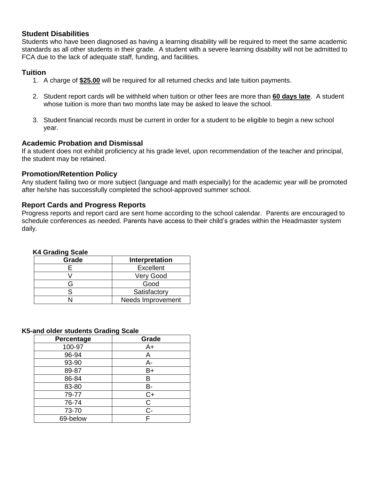#### **Student Disabilities**

Students who have been diagnosed as having a learning disability will be required to meet the same academic standards as all other students in their grade. A student with a severe learning disability will not be admitted to FCA due to the lack of adequate staff, funding, and facilities.

#### **Tuition**

- 1. A charge of **\$25.00** will be required for all returned checks and late tuition payments.
- 2. Student report cards will be withheld when tuition or other fees are more than **60 days late**. A student whose tuition is more than two months late may be asked to leave the school.
- 3. Student financial records must be current in order for a student to be eligible to begin a new school year.

#### **Academic Probation and Dismissal**

If a student does not exhibit proficiency at his grade level, upon recommendation of the teacher and principal, the student may be retained.

#### **Promotion/Retention Policy**

Any student failing two or more subject (language and math especially) for the academic year will be promoted after he/she has successfully completed the school-approved summer school.

#### **Report Cards and Progress Reports**

Progress reports and report card are sent home according to the school calendar. Parents are encouraged to schedule conferences as needed. Parents have access to their child's grades within the Headmaster system daily.

#### **K4 Grading Scale**

| Grade | Interpretation    |
|-------|-------------------|
|       | <b>Excellent</b>  |
|       | Very Good         |
|       | Good              |
|       | Satisfactory      |
|       | Needs Improvement |

#### **K5-and older students Grading Scale**

| ັ          |       |
|------------|-------|
| Percentage | Grade |
| 100-97     | A+    |
| 96-94      | Α     |
| 93-90      | A-    |
| 89-87      | B+    |
| 86-84      | В     |
| 83-80      | B-    |
| 79-77      | $C+$  |
| 76-74      | C     |
| 73-70      | $C -$ |
| 69-below   | F     |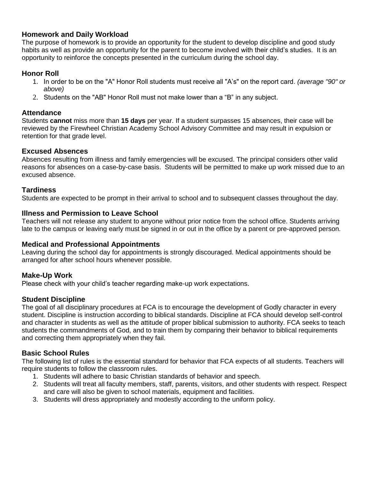# **Homework and Daily Workload**

The purpose of homework is to provide an opportunity for the student to develop discipline and good study habits as well as provide an opportunity for the parent to become involved with their child's studies. It is an opportunity to reinforce the concepts presented in the curriculum during the school day.

# **Honor Roll**

- 1. In order to be on the "A" Honor Roll students must receive all "A's" on the report card. *(average "90" or above)*
- 2. Students on the "AB" Honor Roll must not make lower than a "B" in any subject.

#### **Attendance**

Students **cannot** miss more than **15 days** per year. If a student surpasses 15 absences, their case will be reviewed by the Firewheel Christian Academy School Advisory Committee and may result in expulsion or retention for that grade level.

#### **Excused Absences**

Absences resulting from illness and family emergencies will be excused. The principal considers other valid reasons for absences on a case-by-case basis. Students will be permitted to make up work missed due to an excused absence.

#### **Tardiness**

Students are expected to be prompt in their arrival to school and to subsequent classes throughout the day.

#### **Illness and Permission to Leave School**

Teachers will not release any student to anyone without prior notice from the school office. Students arriving late to the campus or leaving early must be signed in or out in the office by a parent or pre-approved person.

#### **Medical and Professional Appointments**

Leaving during the school day for appointments is strongly discouraged. Medical appointments should be arranged for after school hours whenever possible.

#### **Make-Up Work**

Please check with your child's teacher regarding make-up work expectations.

#### **Student Discipline**

The goal of all disciplinary procedures at FCA is to encourage the development of Godly character in every student. Discipline is instruction according to biblical standards. Discipline at FCA should develop self-control and character in students as well as the attitude of proper biblical submission to authority. FCA seeks to teach students the commandments of God, and to train them by comparing their behavior to biblical requirements and correcting them appropriately when they fail.

#### **Basic School Rules**

The following list of rules is the essential standard for behavior that FCA expects of all students. Teachers will require students to follow the classroom rules.

- 1. Students will adhere to basic Christian standards of behavior and speech.
- 2. Students will treat all faculty members, staff, parents, visitors, and other students with respect. Respect and care will also be given to school materials, equipment and facilities.
- 3. Students will dress appropriately and modestly according to the uniform policy.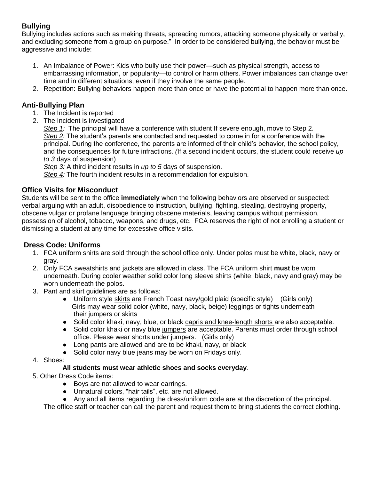# **Bullying**

Bullying includes actions such as making threats, spreading rumors, attacking someone physically or verbally, and excluding someone from a group on purpose." In order to be considered bullying, the behavior must be aggressive and include:

- 1. An Imbalance of Power: Kids who bully use their power—such as physical strength, access to embarrassing information, or popularity—to control or harm others. Power imbalances can change over time and in different situations, even if they involve the same people.
- 2. Repetition: Bullying behaviors happen more than once or have the potential to happen more than once.

# **Anti-Bullying Plan**

- 1. The Incident is reported
- 2. The Incident is investigated

*Step 1:* The principal will have a conference with student If severe enough, move to Step 2. *Step 2:* The student's parents are contacted and requested to come in for a conference with the principal. During the conference, the parents are informed of their child's behavior, the school policy, and the consequences for future infractions. *(*If a second incident occurs, the student could receive *up to 3* days of suspension)

*Step 3:* A third incident results in *up to 5* days of suspension.

*Step 4:* The fourth incident results in a recommendation for expulsion.

# **Office Visits for Misconduct**

Students will be sent to the office **immediately** when the following behaviors are observed or suspected: verbal arguing with an adult, disobedience to instruction, bullying, fighting, stealing, destroying property, obscene vulgar or profane language bringing obscene materials, leaving campus without permission, possession of alcohol, tobacco, weapons, and drugs, etc. FCA reserves the right of not enrolling a student or dismissing a student at any time for excessive office visits.

# **Dress Code: Uniforms**

- 1. FCA uniform shirts are sold through the school office only. Under polos must be white, black, navy or gray.
- 2. Only FCA sweatshirts and jackets are allowed in class. The FCA uniform shirt **must** be worn underneath. During cooler weather solid color long sleeve shirts (white, black, navy and gray) may be worn underneath the polos.
- 3. Pant and skirt guidelines are as follows:
	- Uniform style skirts are French Toast navy/gold plaid (specific style) (Girls only) Girls may wear solid color (white, navy, black, beige) leggings or tights underneath their jumpers or skirts
	- Solid color khaki, navy, blue, or black capris and knee-length shorts are also acceptable.
	- Solid color khaki or navy blue jumpers are acceptable. Parents must order through school office. Please wear shorts under jumpers. (Girls only)
	- Long pants are allowed and are to be khaki, navy, or black
	- Solid color navy blue jeans may be worn on Fridays only.
- 4. Shoes:

# **All students must wear athletic shoes and socks everyday**.

- 5. Other Dress Code items:
	- Boys are not allowed to wear earrings.
	- Unnatural colors, "hair tails", etc. are not allowed.
	- Any and all items regarding the dress/uniform code are at the discretion of the principal.

The office staff or teacher can call the parent and request them to bring students the correct clothing.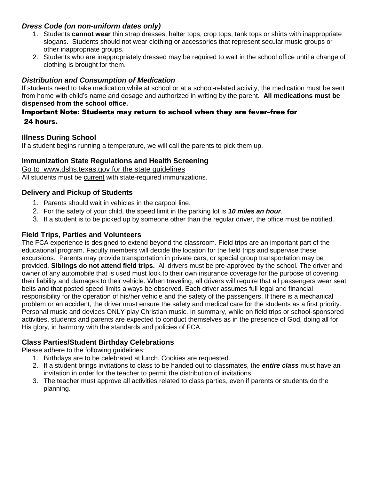# *Dress Code (on non-uniform dates only)*

- 1. Students **cannot wear** thin strap dresses, halter tops, crop tops, tank tops or shirts with inappropriate slogans. Students should not wear clothing or accessories that represent secular music groups or other inappropriate groups.
- 2. Students who are inappropriately dressed may be required to wait in the school office until a change of clothing is brought for them.

## *Distribution and Consumption of Medication*

If students need to take medication while at school or at a school-related activity, the medication must be sent from home with child's name and dosage and authorized in writing by the parent. **All medications must be dispensed from the school office.**

# Important Note: Students may return to school when they are fever–free for 24 hours.

#### **Illness During School**

If a student begins running a temperature, we will call the parents to pick them up.

#### **Immunization State Regulations and Health Screening**

Go to [www.dshs.texas.gov](http://www.dshs.texas.gov/) for the state guidelines All students must be current with state-required immunizations.

# **Delivery and Pickup of Students**

- 1. Parents should wait in vehicles in the carpool line.
- 2. For the safety of your child, the speed limit in the parking lot is *10 miles an hour*.
- 3. If a student is to be picked up by someone other than the regular driver, the office must be notified.

#### **Field Trips, Parties and Volunteers**

The FCA experience is designed to extend beyond the classroom. Field trips are an important part of the educational program. Faculty members will decide the location for the field trips and supervise these excursions. Parents may provide transportation in private cars, or special group transportation may be provided. **Siblings do not attend field trips.** All drivers must be pre-approved by the school. The driver and owner of any automobile that is used must look to their own insurance coverage for the purpose of covering their liability and damages to their vehicle. When traveling, all drivers will require that all passengers wear seat belts and that posted speed limits always be observed. Each driver assumes full legal and financial responsibility for the operation of his/her vehicle and the safety of the passengers. If there is a mechanical problem or an accident, the driver must ensure the safety and medical care for the students as a first priority. Personal music and devices ONLY play Christian music. In summary, while on field trips or school-sponsored activities, students and parents are expected to conduct themselves as in the presence of God, doing all for His glory, in harmony with the standards and policies of FCA.

# **Class Parties/Student Birthday Celebrations**

Please adhere to the following guidelines:

- 1. Birthdays are to be celebrated at lunch. Cookies are requested.
- 2. If a student brings invitations to class to be handed out to classmates, the *entire class* must have an invitation in order for the teacher to permit the distribution of invitations.
- 3. The teacher must approve all activities related to class parties, even if parents or students do the planning.